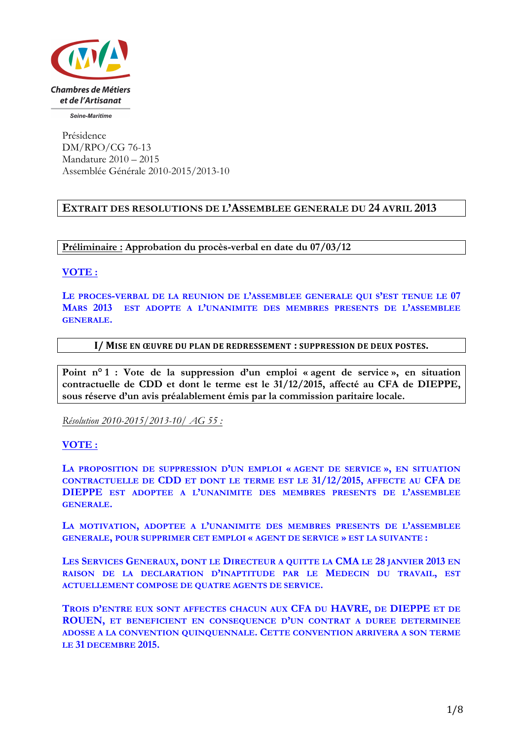

Seine-Maritime

Présidence DM/RPO/CG 76-13 Mandature 2010 – 2015 Assemblée Générale 2010-2015/2013-10

# **EXTRAIT DES RESOLUTIONS DE L'ASSEMBLEE GENERALE DU 24 AVRIL 2013**

**Préliminaire : Approbation du procès-verbal en date du 07/03/12**

### **VOTE :**

**LE PROCES-VERBAL DE LA REUNION DE L'ASSEMBLEE GENERALE QUI S'EST TENUE LE 07 MARS 2013 EST ADOPTE A L'UNANIMITE DES MEMBRES PRESENTS DE L'ASSEMBLEE GENERALE.**

### I/ MISE EN ŒUVRE DU PLAN DE REDRESSEMENT **:** SUPPRESSION DE DEUX POSTES.

**Point n° 1 : Vote de la suppression d'un emploi « agent de service », en situation contractuelle de CDD et dont le terme est le 31/12/2015, affecté au CFA de DIEPPE, sous réserve d'un avis préalablement émis par la commission paritaire locale.**

*Résolution 2010-2015/2013-10/ AG 55 :* 

# **VOTE :**

**LA PROPOSITION DE SUPPRESSION D'UN EMPLOI « AGENT DE SERVICE », EN SITUATION CONTRACTUELLE DE CDD ET DONT LE TERME EST LE 31/12/2015, AFFECTE AU CFA DE DIEPPE EST ADOPTEE A L'UNANIMITE DES MEMBRES PRESENTS DE L'ASSEMBLEE GENERALE.**

**LA MOTIVATION, ADOPTEE A L'UNANIMITE DES MEMBRES PRESENTS DE L'ASSEMBLEE GENERALE, POUR SUPPRIMER CET EMPLOI « AGENT DE SERVICE » EST LA SUIVANTE :**

**LES SERVICES GENERAUX, DONT LE DIRECTEUR A QUITTE LA CMA LE 28 JANVIER 2013 EN RAISON DE LA DECLARATION D'INAPTITUDE PAR LE MEDECIN DU TRAVAIL, EST ACTUELLEMENT COMPOSE DE QUATRE AGENTS DE SERVICE.**

**TROIS D'ENTRE EUX SONT AFFECTES CHACUN AUX CFA DU HAVRE, DE DIEPPE ET DE ROUEN, ET BENEFICIENT EN CONSEQUENCE D'UN CONTRAT A DUREE DETERMINEE ADOSSE A LA CONVENTION QUINQUENNALE. CETTE CONVENTION ARRIVERA A SON TERME LE 31 DECEMBRE 2015.**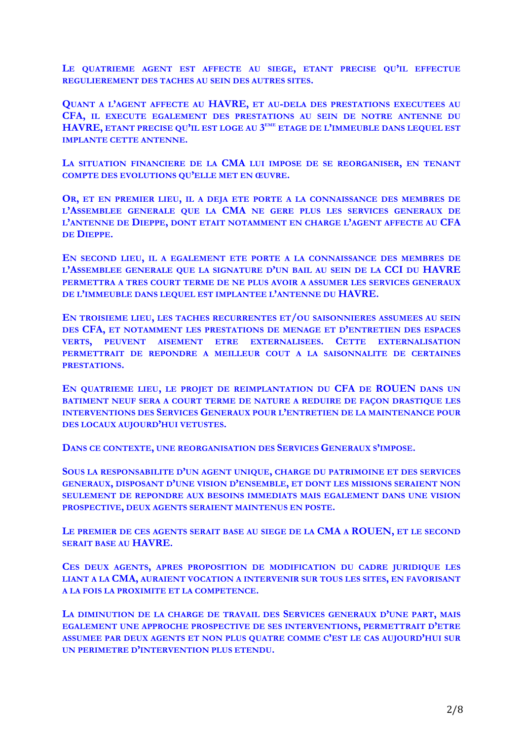**LE QUATRIEME AGENT EST AFFECTE AU SIEGE, ETANT PRECISE QU'IL EFFECTUE REGULIEREMENT DES TACHES AU SEIN DES AUTRES SITES.**

**QUANT A L'AGENT AFFECTE AU HAVRE, ET AU-DELA DES PRESTATIONS EXECUTEES AU CFA, IL EXECUTE EGALEMENT DES PRESTATIONS AU SEIN DE NOTRE ANTENNE DU HAVRE, ETANT PRECISE QU'IL EST LOGE AU 3EME ETAGE DE L'IMMEUBLE DANS LEQUEL EST IMPLANTE CETTE ANTENNE.**

**LA SITUATION FINANCIERE DE LA CMA LUI IMPOSE DE SE REORGANISER, EN TENANT COMPTE DES EVOLUTIONS QU'ELLE MET EN ŒUVRE.**

**OR, ET EN PREMIER LIEU, IL A DEJA ETE PORTE A LA CONNAISSANCE DES MEMBRES DE L'ASSEMBLEE GENERALE QUE LA CMA NE GERE PLUS LES SERVICES GENERAUX DE L'ANTENNE DE DIEPPE, DONT ETAIT NOTAMMENT EN CHARGE L'AGENT AFFECTE AU CFA DE DIEPPE.**

**EN SECOND LIEU, IL A EGALEMENT ETE PORTE A LA CONNAISSANCE DES MEMBRES DE L'ASSEMBLEE GENERALE QUE LA SIGNATURE D'UN BAIL AU SEIN DE LA CCI DU HAVRE PERMETTRA A TRES COURT TERME DE NE PLUS AVOIR A ASSUMER LES SERVICES GENERAUX DE L'IMMEUBLE DANS LEQUEL EST IMPLANTEE L'ANTENNE DU HAVRE.**

**EN TROISIEME LIEU, LES TACHES RECURRENTES ET/OU SAISONNIERES ASSUMEES AU SEIN DES CFA, ET NOTAMMENT LES PRESTATIONS DE MENAGE ET D'ENTRETIEN DES ESPACES VERTS, PEUVENT AISEMENT ETRE EXTERNALISEES. CETTE EXTERNALISATION PERMETTRAIT DE REPONDRE A MEILLEUR COUT A LA SAISONNALITE DE CERTAINES PRESTATIONS.**

**EN QUATRIEME LIEU, LE PROJET DE REIMPLANTATION DU CFA DE ROUEN DANS UN BATIMENT NEUF SERA A COURT TERME DE NATURE A REDUIRE DE FAÇON DRASTIQUE LES INTERVENTIONS DES SERVICES GENERAUX POUR L'ENTRETIEN DE LA MAINTENANCE POUR DES LOCAUX AUJOURD'HUI VETUSTES.**

**DANS CE CONTEXTE, UNE REORGANISATION DES SERVICES GENERAUX S'IMPOSE.**

**SOUS LA RESPONSABILITE D'UN AGENT UNIQUE, CHARGE DU PATRIMOINE ET DES SERVICES GENERAUX, DISPOSANT D'UNE VISION D'ENSEMBLE, ET DONT LES MISSIONS SERAIENT NON SEULEMENT DE REPONDRE AUX BESOINS IMMEDIATS MAIS EGALEMENT DANS UNE VISION PROSPECTIVE, DEUX AGENTS SERAIENT MAINTENUS EN POSTE.**

**LE PREMIER DE CES AGENTS SERAIT BASE AU SIEGE DE LA CMA A ROUEN, ET LE SECOND SERAIT BASE AU HAVRE.**

**CES DEUX AGENTS, APRES PROPOSITION DE MODIFICATION DU CADRE JURIDIQUE LES LIANT A LA CMA, AURAIENT VOCATION A INTERVENIR SUR TOUS LES SITES, EN FAVORISANT A LA FOIS LA PROXIMITE ET LA COMPETENCE.**

**LA DIMINUTION DE LA CHARGE DE TRAVAIL DES SERVICES GENERAUX D'UNE PART, MAIS EGALEMENT UNE APPROCHE PROSPECTIVE DE SES INTERVENTIONS, PERMETTRAIT D'ETRE ASSUMEE PAR DEUX AGENTS ET NON PLUS QUATRE COMME C'EST LE CAS AUJOURD'HUI SUR UN PERIMETRE D'INTERVENTION PLUS ETENDU.**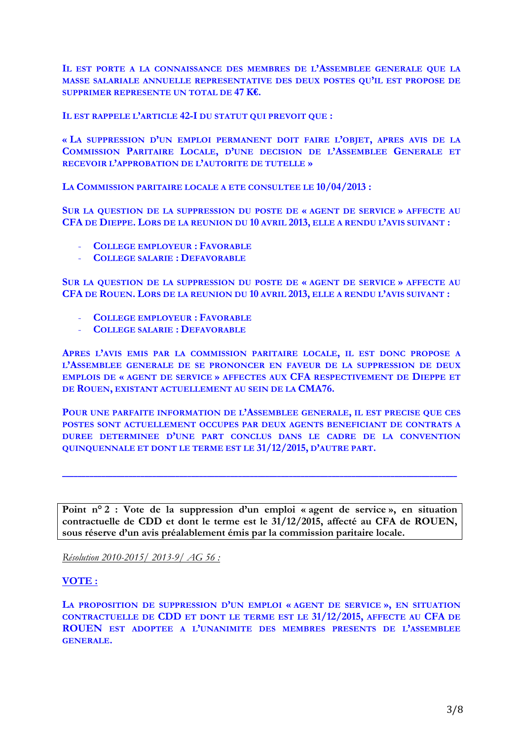**IL EST PORTE A LA CONNAISSANCE DES MEMBRES DE L'ASSEMBLEE GENERALE QUE LA MASSE SALARIALE ANNUELLE REPRESENTATIVE DES DEUX POSTES QU'IL EST PROPOSE DE SUPPRIMER REPRESENTE UN TOTAL DE 47 K€.**

**IL EST RAPPELE L'ARTICLE 42-I DU STATUT QUI PREVOIT QUE :**

**« LA SUPPRESSION D'UN EMPLOI PERMANENT DOIT FAIRE L'OBJET, APRES AVIS DE LA COMMISSION PARITAIRE LOCALE, D'UNE DECISION DE L'ASSEMBLEE GENERALE ET RECEVOIR L'APPROBATION DE L'AUTORITE DE TUTELLE »**

**LA COMMISSION PARITAIRE LOCALE A ETE CONSULTEE LE 10/04/2013 :**

**SUR LA QUESTION DE LA SUPPRESSION DU POSTE DE « AGENT DE SERVICE » AFFECTE AU CFA DE DIEPPE. LORS DE LA REUNION DU 10 AVRIL 2013, ELLE A RENDU L'AVIS SUIVANT :**

- **COLLEGE EMPLOYEUR : FAVORABLE**
- **COLLEGE SALARIE : DEFAVORABLE**

**SUR LA QUESTION DE LA SUPPRESSION DU POSTE DE « AGENT DE SERVICE » AFFECTE AU CFA DE ROUEN. LORS DE LA REUNION DU 10 AVRIL 2013, ELLE A RENDU L'AVIS SUIVANT :**

- **COLLEGE EMPLOYEUR : FAVORABLE**
- **COLLEGE SALARIE : DEFAVORABLE**

**APRES L'AVIS EMIS PAR LA COMMISSION PARITAIRE LOCALE, IL EST DONC PROPOSE A L'ASSEMBLEE GENERALE DE SE PRONONCER EN FAVEUR DE LA SUPPRESSION DE DEUX EMPLOIS DE « AGENT DE SERVICE » AFFECTES AUX CFA RESPECTIVEMENT DE DIEPPE ET DE ROUEN, EXISTANT ACTUELLEMENT AU SEIN DE LA CMA76.**

**POUR UNE PARFAITE INFORMATION DE L'ASSEMBLEE GENERALE, IL EST PRECISE QUE CES POSTES SONT ACTUELLEMENT OCCUPES PAR DEUX AGENTS BENEFICIANT DE CONTRATS A DUREE DETERMINEE D'UNE PART CONCLUS DANS LE CADRE DE LA CONVENTION QUINQUENNALE ET DONT LE TERME EST LE 31/12/2015, D'AUTRE PART.**

**Point n° 2 : Vote de la suppression d'un emploi « agent de service », en situation contractuelle de CDD et dont le terme est le 31/12/2015, affecté au CFA de ROUEN, sous réserve d'un avis préalablement émis par la commission paritaire locale.**

**\_\_\_\_\_\_\_\_\_\_\_\_\_\_\_\_\_\_\_\_\_\_\_\_\_\_\_\_\_\_\_\_\_\_\_\_\_\_\_\_\_\_\_\_\_\_\_\_\_\_\_\_\_\_\_\_\_\_\_\_\_\_\_\_\_\_\_\_\_\_\_\_\_\_\_\_\_\_\_\_\_\_\_\_\_\_\_\_\_\_\_\_\_\_\_\_\_\_\_\_\_**

*Résolution 2010-2015/ 2013-9/ AG 56 :* 

# **VOTE :**

**LA PROPOSITION DE SUPPRESSION D'UN EMPLOI « AGENT DE SERVICE », EN SITUATION CONTRACTUELLE DE CDD ET DONT LE TERME EST LE 31/12/2015, AFFECTE AU CFA DE ROUEN EST ADOPTEE A L'UNANIMITE DES MEMBRES PRESENTS DE L'ASSEMBLEE GENERALE.**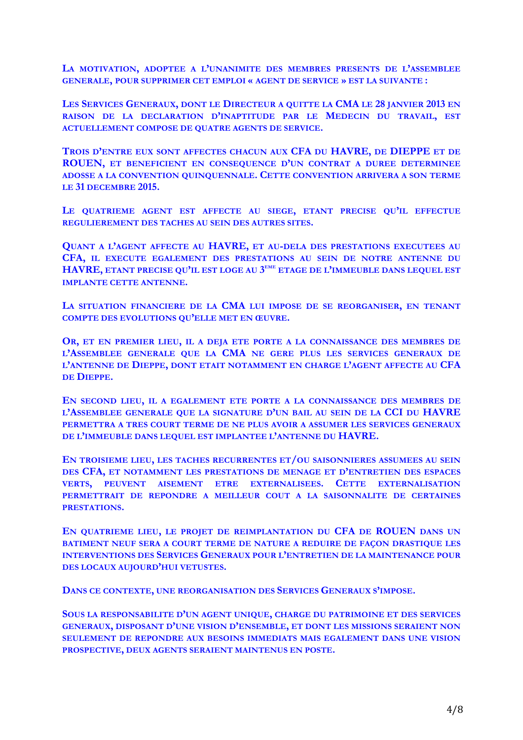**LA MOTIVATION, ADOPTEE A L'UNANIMITE DES MEMBRES PRESENTS DE L'ASSEMBLEE GENERALE, POUR SUPPRIMER CET EMPLOI « AGENT DE SERVICE » EST LA SUIVANTE :**

**LES SERVICES GENERAUX, DONT LE DIRECTEUR A QUITTE LA CMA LE 28 JANVIER 2013 EN RAISON DE LA DECLARATION D'INAPTITUDE PAR LE MEDECIN DU TRAVAIL, EST ACTUELLEMENT COMPOSE DE QUATRE AGENTS DE SERVICE.**

**TROIS D'ENTRE EUX SONT AFFECTES CHACUN AUX CFA DU HAVRE, DE DIEPPE ET DE ROUEN, ET BENEFICIENT EN CONSEQUENCE D'UN CONTRAT A DUREE DETERMINEE ADOSSE A LA CONVENTION QUINQUENNALE. CETTE CONVENTION ARRIVERA A SON TERME LE 31 DECEMBRE 2015.**

**LE QUATRIEME AGENT EST AFFECTE AU SIEGE, ETANT PRECISE QU'IL EFFECTUE REGULIEREMENT DES TACHES AU SEIN DES AUTRES SITES.**

**QUANT A L'AGENT AFFECTE AU HAVRE, ET AU-DELA DES PRESTATIONS EXECUTEES AU CFA, IL EXECUTE EGALEMENT DES PRESTATIONS AU SEIN DE NOTRE ANTENNE DU HAVRE, ETANT PRECISE QU'IL EST LOGE AU 3EME ETAGE DE L'IMMEUBLE DANS LEQUEL EST IMPLANTE CETTE ANTENNE.**

**LA SITUATION FINANCIERE DE LA CMA LUI IMPOSE DE SE REORGANISER, EN TENANT COMPTE DES EVOLUTIONS QU'ELLE MET EN ŒUVRE.**

**OR, ET EN PREMIER LIEU, IL A DEJA ETE PORTE A LA CONNAISSANCE DES MEMBRES DE L'ASSEMBLEE GENERALE QUE LA CMA NE GERE PLUS LES SERVICES GENERAUX DE L'ANTENNE DE DIEPPE, DONT ETAIT NOTAMMENT EN CHARGE L'AGENT AFFECTE AU CFA DE DIEPPE.**

**EN SECOND LIEU, IL A EGALEMENT ETE PORTE A LA CONNAISSANCE DES MEMBRES DE L'ASSEMBLEE GENERALE QUE LA SIGNATURE D'UN BAIL AU SEIN DE LA CCI DU HAVRE PERMETTRA A TRES COURT TERME DE NE PLUS AVOIR A ASSUMER LES SERVICES GENERAUX DE L'IMMEUBLE DANS LEQUEL EST IMPLANTEE L'ANTENNE DU HAVRE.**

**EN TROISIEME LIEU, LES TACHES RECURRENTES ET/OU SAISONNIERES ASSUMEES AU SEIN DES CFA, ET NOTAMMENT LES PRESTATIONS DE MENAGE ET D'ENTRETIEN DES ESPACES VERTS, PEUVENT AISEMENT ETRE EXTERNALISEES. CETTE EXTERNALISATION PERMETTRAIT DE REPONDRE A MEILLEUR COUT A LA SAISONNALITE DE CERTAINES PRESTATIONS.**

**EN QUATRIEME LIEU, LE PROJET DE REIMPLANTATION DU CFA DE ROUEN DANS UN BATIMENT NEUF SERA A COURT TERME DE NATURE A REDUIRE DE FAÇON DRASTIQUE LES INTERVENTIONS DES SERVICES GENERAUX POUR L'ENTRETIEN DE LA MAINTENANCE POUR DES LOCAUX AUJOURD'HUI VETUSTES.**

**DANS CE CONTEXTE, UNE REORGANISATION DES SERVICES GENERAUX S'IMPOSE.**

**SOUS LA RESPONSABILITE D'UN AGENT UNIQUE, CHARGE DU PATRIMOINE ET DES SERVICES GENERAUX, DISPOSANT D'UNE VISION D'ENSEMBLE, ET DONT LES MISSIONS SERAIENT NON SEULEMENT DE REPONDRE AUX BESOINS IMMEDIATS MAIS EGALEMENT DANS UNE VISION PROSPECTIVE, DEUX AGENTS SERAIENT MAINTENUS EN POSTE.**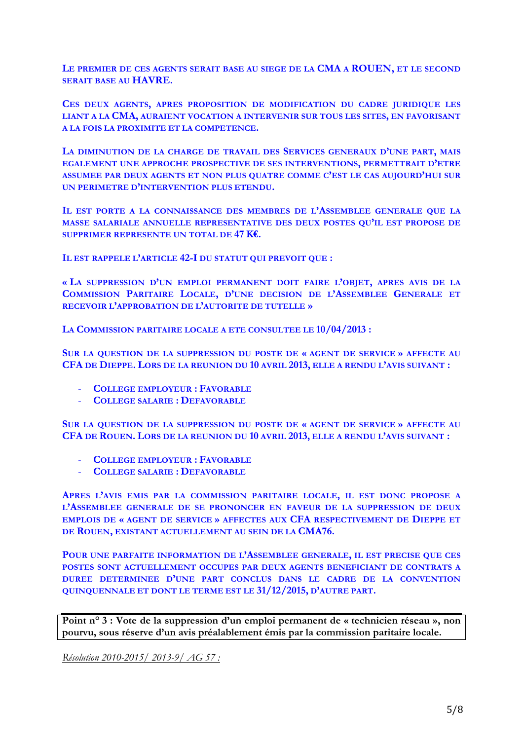**LE PREMIER DE CES AGENTS SERAIT BASE AU SIEGE DE LA CMA A ROUEN, ET LE SECOND SERAIT BASE AU HAVRE.**

**CES DEUX AGENTS, APRES PROPOSITION DE MODIFICATION DU CADRE JURIDIQUE LES LIANT A LA CMA, AURAIENT VOCATION A INTERVENIR SUR TOUS LES SITES, EN FAVORISANT A LA FOIS LA PROXIMITE ET LA COMPETENCE.**

**LA DIMINUTION DE LA CHARGE DE TRAVAIL DES SERVICES GENERAUX D'UNE PART, MAIS EGALEMENT UNE APPROCHE PROSPECTIVE DE SES INTERVENTIONS, PERMETTRAIT D'ETRE ASSUMEE PAR DEUX AGENTS ET NON PLUS QUATRE COMME C'EST LE CAS AUJOURD'HUI SUR UN PERIMETRE D'INTERVENTION PLUS ETENDU.**

**IL EST PORTE A LA CONNAISSANCE DES MEMBRES DE L'ASSEMBLEE GENERALE QUE LA MASSE SALARIALE ANNUELLE REPRESENTATIVE DES DEUX POSTES QU'IL EST PROPOSE DE SUPPRIMER REPRESENTE UN TOTAL DE 47 K€.**

**IL EST RAPPELE L'ARTICLE 42-I DU STATUT QUI PREVOIT QUE :**

**« LA SUPPRESSION D'UN EMPLOI PERMANENT DOIT FAIRE L'OBJET, APRES AVIS DE LA COMMISSION PARITAIRE LOCALE, D'UNE DECISION DE L'ASSEMBLEE GENERALE ET RECEVOIR L'APPROBATION DE L'AUTORITE DE TUTELLE »**

**LA COMMISSION PARITAIRE LOCALE A ETE CONSULTEE LE 10/04/2013 :**

**SUR LA QUESTION DE LA SUPPRESSION DU POSTE DE « AGENT DE SERVICE » AFFECTE AU CFA DE DIEPPE. LORS DE LA REUNION DU 10 AVRIL 2013, ELLE A RENDU L'AVIS SUIVANT :**

- **COLLEGE EMPLOYEUR : FAVORABLE**
- **COLLEGE SALARIE : DEFAVORABLE**

**SUR LA QUESTION DE LA SUPPRESSION DU POSTE DE « AGENT DE SERVICE » AFFECTE AU CFA DE ROUEN. LORS DE LA REUNION DU 10 AVRIL 2013, ELLE A RENDU L'AVIS SUIVANT :**

- **COLLEGE EMPLOYEUR : FAVORABLE**
- **COLLEGE SALARIE : DEFAVORABLE**

**APRES L'AVIS EMIS PAR LA COMMISSION PARITAIRE LOCALE, IL EST DONC PROPOSE A L'ASSEMBLEE GENERALE DE SE PRONONCER EN FAVEUR DE LA SUPPRESSION DE DEUX EMPLOIS DE « AGENT DE SERVICE » AFFECTES AUX CFA RESPECTIVEMENT DE DIEPPE ET DE ROUEN, EXISTANT ACTUELLEMENT AU SEIN DE LA CMA76.**

**POUR UNE PARFAITE INFORMATION DE L'ASSEMBLEE GENERALE, IL EST PRECISE QUE CES POSTES SONT ACTUELLEMENT OCCUPES PAR DEUX AGENTS BENEFICIANT DE CONTRATS A DUREE DETERMINEE D'UNE PART CONCLUS DANS LE CADRE DE LA CONVENTION QUINQUENNALE ET DONT LE TERME EST LE 31/12/2015, D'AUTRE PART.**

**Point n° 3 : Vote de la suppression d'un emploi permanent de « technicien réseau », non pourvu, sous réserve d'un avis préalablement émis par la commission paritaire locale.**

*Résolution 2010-2015/ 2013-9/ AG 57 :*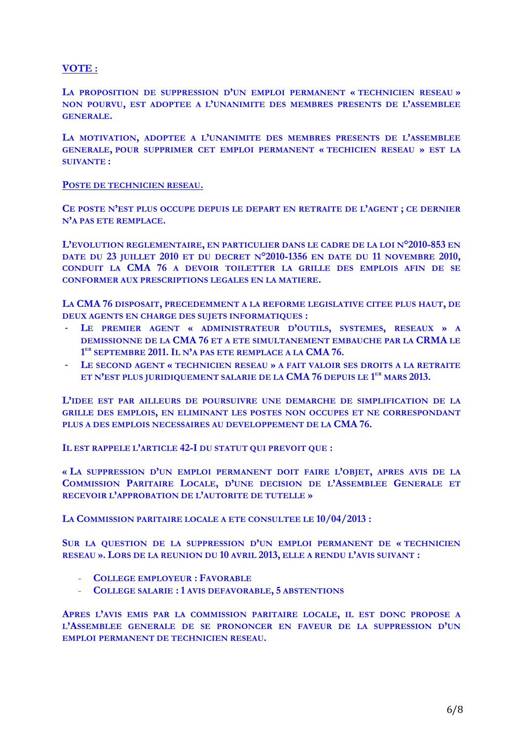**VOTE :**

**LA PROPOSITION DE SUPPRESSION D'UN EMPLOI PERMANENT « TECHNICIEN RESEAU » NON POURVU, EST ADOPTEE A L'UNANIMITE DES MEMBRES PRESENTS DE L'ASSEMBLEE GENERALE.**

**LA MOTIVATION, ADOPTEE A L'UNANIMITE DES MEMBRES PRESENTS DE L'ASSEMBLEE GENERALE, POUR SUPPRIMER CET EMPLOI PERMANENT « TECHICIEN RESEAU » EST LA SUIVANTE :**

#### **POSTE DE TECHNICIEN RESEAU.**

**CE POSTE N'EST PLUS OCCUPE DEPUIS LE DEPART EN RETRAITE DE L'AGENT ; CE DERNIER N'A PAS ETE REMPLACE.**

**L'EVOLUTION REGLEMENTAIRE, EN PARTICULIER DANS LE CADRE DE LA LOI N°2010-853 EN DATE DU 23 JUILLET 2010 ET DU DECRET N°2010-1356 EN DATE DU 11 NOVEMBRE 2010, CONDUIT LA CMA 76 A DEVOIR TOILETTER LA GRILLE DES EMPLOIS AFIN DE SE CONFORMER AUX PRESCRIPTIONS LEGALES EN LA MATIERE.**

**LA CMA 76 DISPOSAIT, PRECEDEMMENT A LA REFORME LEGISLATIVE CITEE PLUS HAUT, DE DEUX AGENTS EN CHARGE DES SUJETS INFORMATIQUES :**

- **LE PREMIER AGENT « ADMINISTRATEUR D'OUTILS, SYSTEMES, RESEAUX » A DEMISSIONNE DE LA CMA 76 ET A ETE SIMULTANEMENT EMBAUCHE PAR LA CRMA LE 1 ER SEPTEMBRE 2011. IL N'A PAS ETE REMPLACE A LA CMA 76.**
- **LE SECOND AGENT « TECHNICIEN RESEAU » A FAIT VALOIR SES DROITS A LA RETRAITE ET N'EST PLUS JURIDIQUEMENT SALARIE DE LA CMA 76 DEPUIS LE 1 ER MARS 2013.**

**L'IDEE EST PAR AILLEURS DE POURSUIVRE UNE DEMARCHE DE SIMPLIFICATION DE LA GRILLE DES EMPLOIS, EN ELIMINANT LES POSTES NON OCCUPES ET NE CORRESPONDANT PLUS A DES EMPLOIS NECESSAIRES AU DEVELOPPEMENT DE LA CMA 76.**

**IL EST RAPPELE L'ARTICLE 42-I DU STATUT QUI PREVOIT QUE :**

**« LA SUPPRESSION D'UN EMPLOI PERMANENT DOIT FAIRE L'OBJET, APRES AVIS DE LA COMMISSION PARITAIRE LOCALE, D'UNE DECISION DE L'ASSEMBLEE GENERALE ET RECEVOIR L'APPROBATION DE L'AUTORITE DE TUTELLE »**

**LA COMMISSION PARITAIRE LOCALE A ETE CONSULTEE LE 10/04/2013 :**

**SUR LA QUESTION DE LA SUPPRESSION D'UN EMPLOI PERMANENT DE « TECHNICIEN RESEAU ». LORS DE LA REUNION DU 10 AVRIL 2013, ELLE A RENDU L'AVIS SUIVANT :**

- **COLLEGE EMPLOYEUR : FAVORABLE**
- **COLLEGE SALARIE : 1 AVIS DEFAVORABLE, 5 ABSTENTIONS**

**APRES L'AVIS EMIS PAR LA COMMISSION PARITAIRE LOCALE, IL EST DONC PROPOSE A L'ASSEMBLEE GENERALE DE SE PRONONCER EN FAVEUR DE LA SUPPRESSION D'UN EMPLOI PERMANENT DE TECHNICIEN RESEAU.**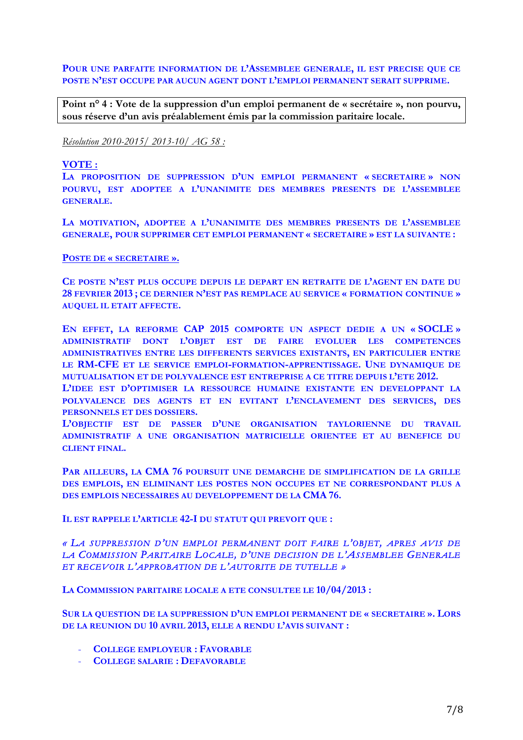**POUR UNE PARFAITE INFORMATION DE L'ASSEMBLEE GENERALE, IL EST PRECISE QUE CE POSTE N'EST OCCUPE PAR AUCUN AGENT DONT L'EMPLOI PERMANENT SERAIT SUPPRIME.**

**Point n° 4 : Vote de la suppression d'un emploi permanent de « secrétaire », non pourvu, sous réserve d'un avis préalablement émis par la commission paritaire locale.**

*Résolution 2010-2015/ 2013-10/ AG 58 :* 

#### **VOTE :**

**LA PROPOSITION DE SUPPRESSION D'UN EMPLOI PERMANENT « SECRETAIRE » NON POURVU, EST ADOPTEE A L'UNANIMITE DES MEMBRES PRESENTS DE L'ASSEMBLEE GENERALE.**

**LA MOTIVATION, ADOPTEE A L'UNANIMITE DES MEMBRES PRESENTS DE L'ASSEMBLEE GENERALE, POUR SUPPRIMER CET EMPLOI PERMANENT « SECRETAIRE » EST LA SUIVANTE :**

#### **POSTE DE « SECRETAIRE ».**

**CE POSTE N'EST PLUS OCCUPE DEPUIS LE DEPART EN RETRAITE DE L'AGENT EN DATE DU 28 FEVRIER 2013 ; CE DERNIER N'EST PAS REMPLACE AU SERVICE « FORMATION CONTINUE » AUQUEL IL ETAIT AFFECTE.**

**EN EFFET, LA REFORME CAP 2015 COMPORTE UN ASPECT DEDIE A UN « SOCLE » ADMINISTRATIF DONT L'OBJET EST DE FAIRE EVOLUER LES COMPETENCES ADMINISTRATIVES ENTRE LES DIFFERENTS SERVICES EXISTANTS, EN PARTICULIER ENTRE LE RM-CFE ET LE SERVICE EMPLOI-FORMATION-APPRENTISSAGE. UNE DYNAMIQUE DE MUTUALISATION ET DE POLYVALENCE EST ENTREPRISE A CE TITRE DEPUIS L'ETE 2012.**

**L'IDEE EST D'OPTIMISER LA RESSOURCE HUMAINE EXISTANTE EN DEVELOPPANT LA POLYVALENCE DES AGENTS ET EN EVITANT L'ENCLAVEMENT DES SERVICES, DES PERSONNELS ET DES DOSSIERS.**

**L'OBJECTIF EST DE PASSER D'UNE ORGANISATION TAYLORIENNE DU TRAVAIL ADMINISTRATIF A UNE ORGANISATION MATRICIELLE ORIENTEE ET AU BENEFICE DU CLIENT FINAL.**

**PAR AILLEURS, LA CMA 76 POURSUIT UNE DEMARCHE DE SIMPLIFICATION DE LA GRILLE DES EMPLOIS, EN ELIMINANT LES POSTES NON OCCUPES ET NE CORRESPONDANT PLUS A DES EMPLOIS NECESSAIRES AU DEVELOPPEMENT DE LA CMA 76.**

**IL EST RAPPELE L'ARTICLE 42-I DU STATUT QUI PREVOIT QUE :**

# *« LA SUPPRESSION D'UN EMPLOI PERMANENT DOIT FAIRE L'OBJET, APRES AVIS DE LA COMMISSION PARITAIRE LOCALE, D'UNE DECISION DE L'ASSEMBLEE GENERALE ET RECEVOIR L'APPROBATION DE L'AUTORITE DE TUTELLE »*

**LA COMMISSION PARITAIRE LOCALE A ETE CONSULTEE LE 10/04/2013 :**

**SUR LA QUESTION DE LA SUPPRESSION D'UN EMPLOI PERMANENT DE « SECRETAIRE ». LORS DE LA REUNION DU 10 AVRIL 2013, ELLE A RENDU L'AVIS SUIVANT :**

- **COLLEGE EMPLOYEUR : FAVORABLE**
- **COLLEGE SALARIE : DEFAVORABLE**